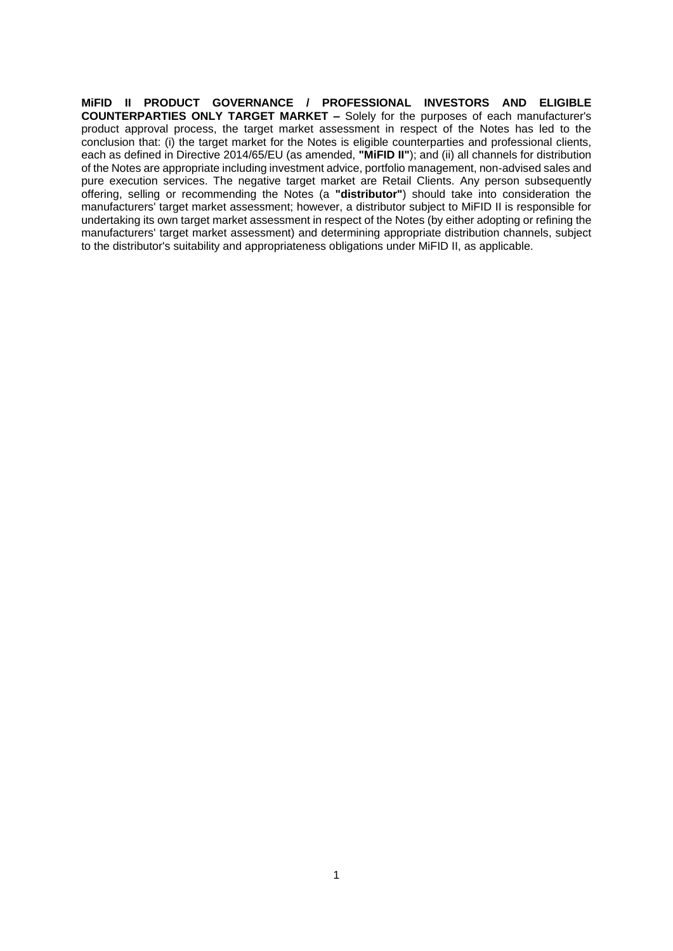**MiFID II PRODUCT GOVERNANCE / PROFESSIONAL INVESTORS AND ELIGIBLE COUNTERPARTIES ONLY TARGET MARKET –** Solely for the purposes of each manufacturer's product approval process, the target market assessment in respect of the Notes has led to the conclusion that: (i) the target market for the Notes is eligible counterparties and professional clients, each as defined in Directive 2014/65/EU (as amended, **"MiFID II"**); and (ii) all channels for distribution of the Notes are appropriate including investment advice, portfolio management, non-advised sales and pure execution services. The negative target market are Retail Clients. Any person subsequently offering, selling or recommending the Notes (a **"distributor"**) should take into consideration the manufacturers' target market assessment; however, a distributor subject to MiFID II is responsible for undertaking its own target market assessment in respect of the Notes (by either adopting or refining the manufacturers' target market assessment) and determining appropriate distribution channels, subject to the distributor's suitability and appropriateness obligations under MiFID II, as applicable.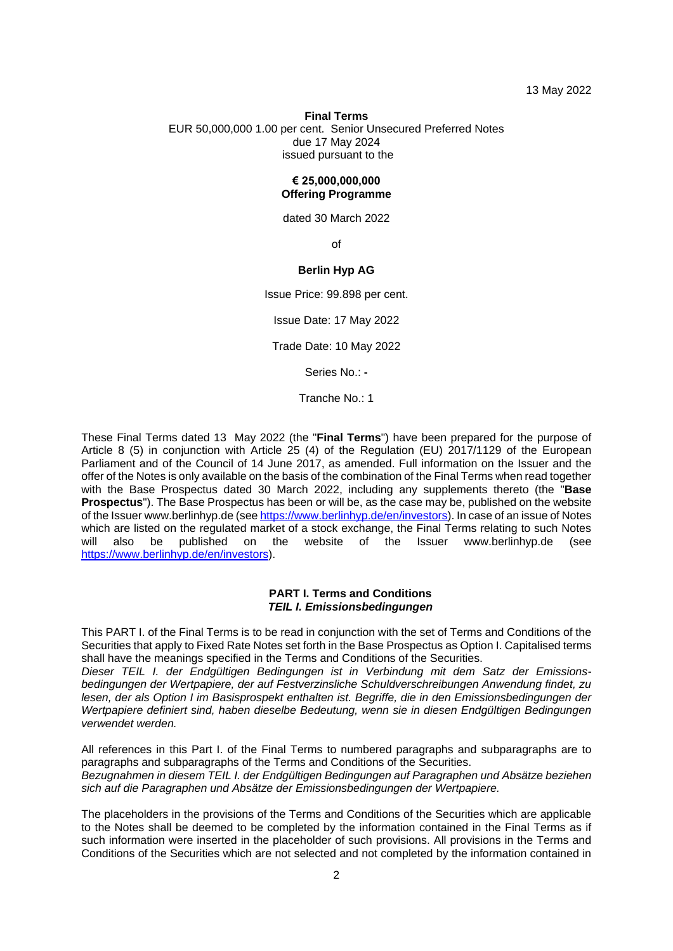13 May 2022

## **Final Terms** EUR 50,000,000 1.00 per cent. Senior Unsecured Preferred Notes due 17 May 2024 issued pursuant to the

#### **€ 25,000,000,000 Offering Programme**

dated 30 March 2022

of

## **Berlin Hyp AG**

Issue Price: 99.898 per cent.

Issue Date: 17 May 2022

Trade Date: 10 May 2022

Series No.: **-**

Tranche No.: 1

These Final Terms dated 13 May 2022 (the "**Final Terms**") have been prepared for the purpose of Article 8 (5) in conjunction with Article 25 (4) of the Regulation (EU) 2017/1129 of the European Parliament and of the Council of 14 June 2017, as amended. Full information on the Issuer and the offer of the Notes is only available on the basis of the combination of the Final Terms when read together with the Base Prospectus dated 30 March 2022, including any supplements thereto (the "**Base Prospectus**"). The Base Prospectus has been or will be, as the case may be, published on the website of the Issuer www.berlinhyp.de (se[e https://www.berlinhyp.de/en/investors\)](https://www.berlinhyp.de/en/investors). In case of an issue of Notes which are listed on the regulated market of a stock exchange, the Final Terms relating to such Notes will also be published on the website of the Issuer www.berlinhyp.de (see will also be published on the website of the Issuer www.berlinhyp.de (see [https://www.berlinhyp.de/en/investors\)](https://www.berlinhyp.de/en/investors).

#### **PART I. Terms and Conditions** *TEIL I. Emissionsbedingungen*

This PART I. of the Final Terms is to be read in conjunction with the set of Terms and Conditions of the Securities that apply to Fixed Rate Notes set forth in the Base Prospectus as Option I. Capitalised terms shall have the meanings specified in the Terms and Conditions of the Securities.

*Dieser TEIL I. der Endgültigen Bedingungen ist in Verbindung mit dem Satz der Emissionsbedingungen der Wertpapiere, der auf Festverzinsliche Schuldverschreibungen Anwendung findet, zu lesen, der als Option I im Basisprospekt enthalten ist. Begriffe, die in den Emissionsbedingungen der Wertpapiere definiert sind, haben dieselbe Bedeutung, wenn sie in diesen Endgültigen Bedingungen verwendet werden.*

All references in this Part I. of the Final Terms to numbered paragraphs and subparagraphs are to paragraphs and subparagraphs of the Terms and Conditions of the Securities. *Bezugnahmen in diesem TEIL I. der Endgültigen Bedingungen auf Paragraphen und Absätze beziehen* 

*sich auf die Paragraphen und Absätze der Emissionsbedingungen der Wertpapiere.*

The placeholders in the provisions of the Terms and Conditions of the Securities which are applicable to the Notes shall be deemed to be completed by the information contained in the Final Terms as if such information were inserted in the placeholder of such provisions. All provisions in the Terms and Conditions of the Securities which are not selected and not completed by the information contained in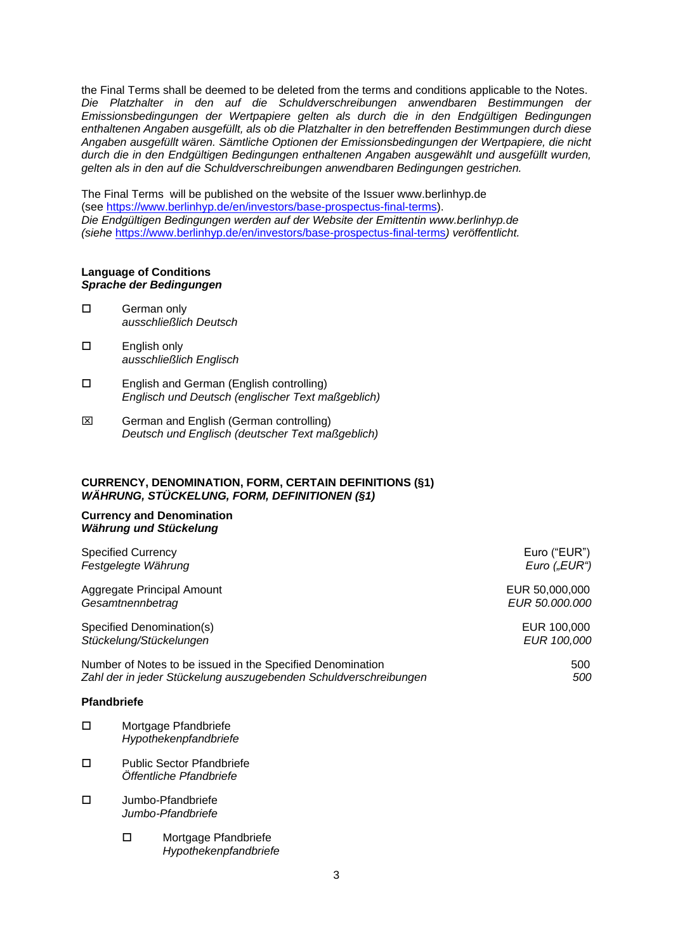the Final Terms shall be deemed to be deleted from the terms and conditions applicable to the Notes. *Die Platzhalter in den auf die Schuldverschreibungen anwendbaren Bestimmungen der Emissionsbedingungen der Wertpapiere gelten als durch die in den Endgültigen Bedingungen enthaltenen Angaben ausgefüllt, als ob die Platzhalter in den betreffenden Bestimmungen durch diese Angaben ausgefüllt wären. Sämtliche Optionen der Emissionsbedingungen der Wertpapiere, die nicht durch die in den Endgültigen Bedingungen enthaltenen Angaben ausgewählt und ausgefüllt wurden, gelten als in den auf die Schuldverschreibungen anwendbaren Bedingungen gestrichen.*

The Final Terms will be published on the website of the Issuer www.berlinhyp.de (see [https://www.berlinhyp.de/en/investors/base-prospectus-final-terms\)](https://www.berlinhyp.de/en/investors/base-prospectus-final-terms). *Die Endgültigen Bedingungen werden auf der Website der Emittentin www.berlinhyp.de (siehe* <https://www.berlinhyp.de/en/investors/base-prospectus-final-terms>*) veröffentlicht.*

#### **Language of Conditions** *Sprache der Bedingungen*

- □ German only *ausschließlich Deutsch*
- English only *ausschließlich Englisch*
- English and German (English controlling) *Englisch und Deutsch (englischer Text maßgeblich)*
- German and English (German controlling) *Deutsch und Englisch (deutscher Text maßgeblich)*

### **CURRENCY, DENOMINATION, FORM, CERTAIN DEFINITIONS (§1)** *WÄHRUNG, STÜCKELUNG, FORM, DEFINITIONEN (§1)*

#### **Currency and Denomination** *Währung und Stückelung*

| <b>Specified Currency</b>                                        | Euro ("EUR")    |
|------------------------------------------------------------------|-----------------|
| Festgelegte Währung                                              | Euro $($ "EUR") |
| Aggregate Principal Amount                                       | EUR 50,000,000  |
| Gesamtnennbetrag                                                 | EUR 50.000.000  |
| Specified Denomination(s)                                        | EUR 100,000     |
| Stückelung/Stückelungen                                          | EUR 100,000     |
| Number of Notes to be issued in the Specified Denomination       | 500             |
| Zahl der in jeder Stückelung auszugebenden Schuldverschreibungen | 500             |
| <b>Pfandbriefe</b>                                               |                 |
| П<br>Mortgage Pfandbriefe                                        |                 |

- *Hypothekenpfandbriefe*
- □ Public Sector Pfandbriefe *Öffentliche Pfandbriefe*
- □ Jumbo-Pfandbriefe *Jumbo-Pfandbriefe*
	- □ Mortgage Pfandbriefe *Hypothekenpfandbriefe*

3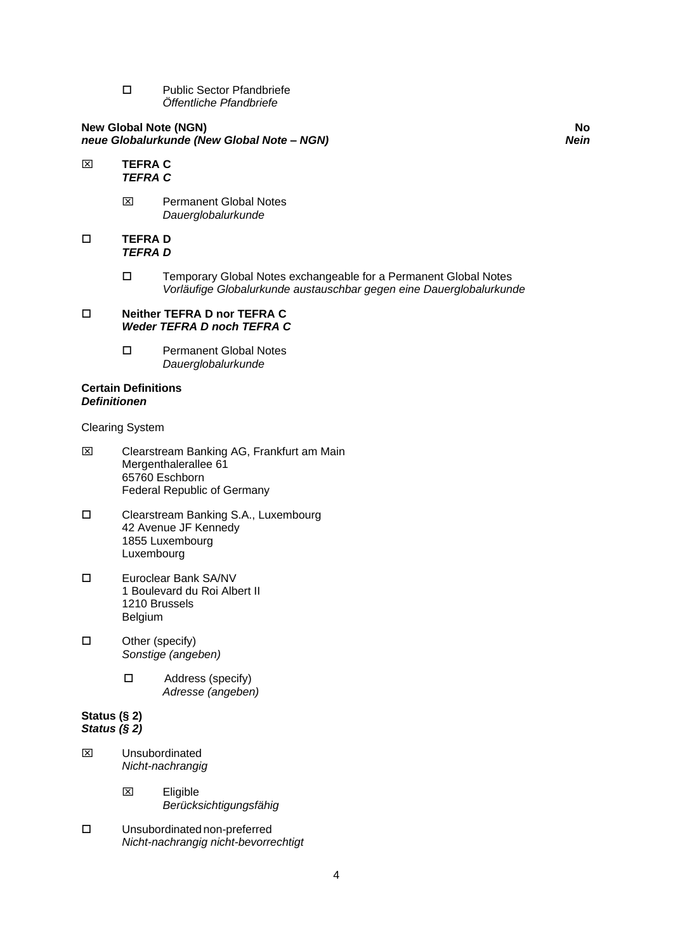□ Public Sector Pfandbriefe *Öffentliche Pfandbriefe*

### **New Global Note (NGN) No** *neue Globalurkunde (New Global Note – NGN) Nein*

- **TEFRA C** *TEFRA C*
	- **EX** Permanent Global Notes *Dauerglobalurkunde*

## **TEFRA D** *TEFRA D*

 Temporary Global Notes exchangeable for a Permanent Global Notes *Vorläufige Globalurkunde austauschbar gegen eine Dauerglobalurkunde*

#### **Neither TEFRA D nor TEFRA C** *Weder TEFRA D noch TEFRA C*

□ Permanent Global Notes *Dauerglobalurkunde*

### **Certain Definitions** *Definitionen*

Clearing System

- Clearstream Banking AG, Frankfurt am Main Mergenthalerallee 61 65760 Eschborn Federal Republic of Germany
- Clearstream Banking S.A., Luxembourg 42 Avenue JF Kennedy 1855 Luxembourg Luxembourg
- Euroclear Bank SA/NV 1 Boulevard du Roi Albert II 1210 Brussels Belgium
- □ Other (specify) *Sonstige (angeben)*
	- □ Address (specify)  *Adresse (angeben)*

#### **Status (§ 2)** *Status (§ 2)*

- Unsubordinated *Nicht-nachrangig* 
	- Eligible *Berücksichtigungsfähig*
- Unsubordinated non-preferred *Nicht-nachrangig nicht-bevorrechtigt*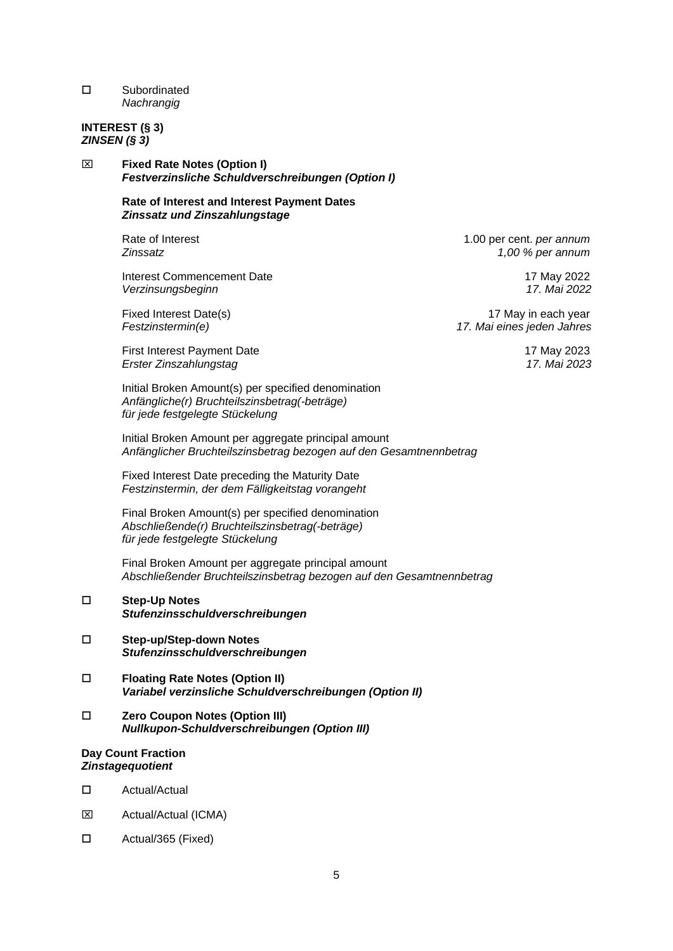## Subordinated *Nachrangig*

## **INTEREST (§ 3)** *ZINSEN (§ 3)*

 **Fixed Rate Notes (Option I)** *Festverzinsliche Schuldverschreibungen (Option I)*

## **Rate of Interest and Interest Payment Dates** *Zinssatz und Zinszahlungstage*

Interest Commencement Date 17 May 2022 *Verzinsungsbeginn 17. Mai 2022*

First Interest Payment Date 17 May 2023 *Erster Zinszahlungstag 17. Mai 2023*

Initial Broken Amount(s) per specified denomination *Anfängliche(r) Bruchteilszinsbetrag(-beträge) für jede festgelegte Stückelung*

Initial Broken Amount per aggregate principal amount *Anfänglicher Bruchteilszinsbetrag bezogen auf den Gesamtnennbetrag*

Fixed Interest Date preceding the Maturity Date *Festzinstermin, der dem Fälligkeitstag vorangeht*

Final Broken Amount(s) per specified denomination *Abschließende(r) Bruchteilszinsbetrag(-beträge) für jede festgelegte Stückelung*

Final Broken Amount per aggregate principal amount *Abschließender Bruchteilszinsbetrag bezogen auf den Gesamtnennbetrag*

## **Step-Up Notes**  *Stufenzinsschuldverschreibungen*

- **Step-up/Step-down Notes**  *Stufenzinsschuldverschreibungen*
- **Floating Rate Notes (Option II)** *Variabel verzinsliche Schuldverschreibungen (Option II)*
- **Zero Coupon Notes (Option III)** *Nullkupon-Schuldverschreibungen (Option III)*

#### **Day Count Fraction** *Zinstagequotient*

- Actual/Actual
- **EXECUAL** Actual/Actual (ICMA)
- Actual/365 (Fixed)

Rate of Interest **1.00 per cent.** *per annum Zinssatz 1,00 % per annum*

Fixed Interest Date(s) 17 May in each year 16 May in each year 17 May in each year *Festzinstermin(e) 17. Mai eines jeden Jahres*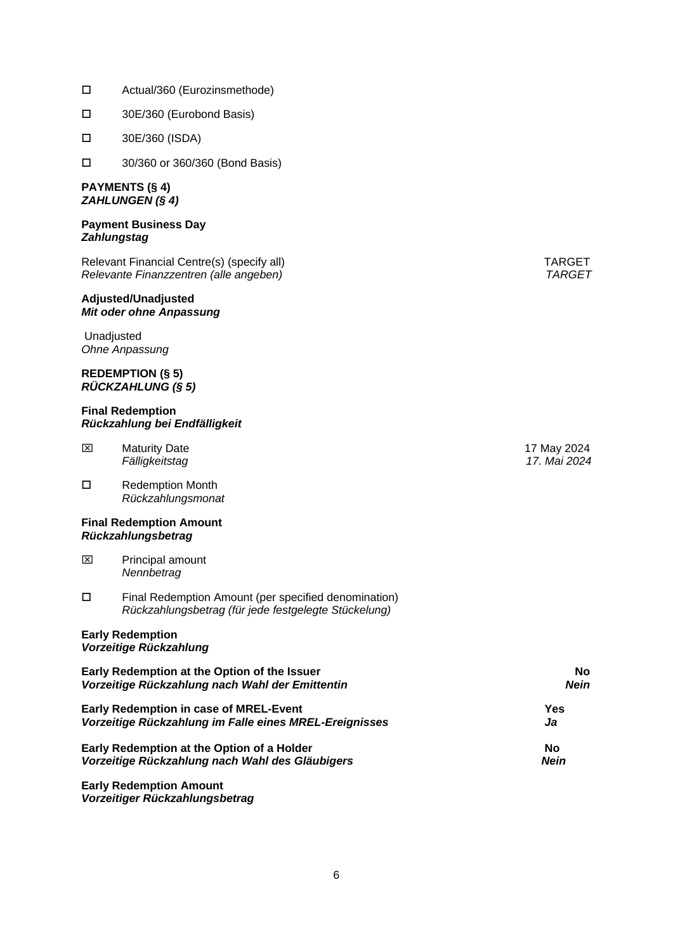- Actual/360 (Eurozinsmethode)
- 30E/360 (Eurobond Basis)
- 30E/360 (ISDA)
- 30/360 or 360/360 (Bond Basis)

#### **PAYMENTS (§ 4)** *ZAHLUNGEN (§ 4)*

#### **Payment Business Day** *Zahlungstag*

Relevant Financial Centre(s) (specify all) TARGET *Relevante Finanzzentren (alle angeben) TARGET*

#### **Adjusted/Unadjusted** *Mit oder ohne Anpassung*

Unadjusted *Ohne Anpassung*

#### **REDEMPTION (§ 5)** *RÜCKZAHLUNG (§ 5)*

#### **Final Redemption** *Rückzahlung bei Endfälligkeit*

| ⊠ | <b>Maturity Date</b> |
|---|----------------------|
|   | Fälligkeitstag       |

□ Redemption Month *Rückzahlungsmonat*

#### **Final Redemption Amount** *Rückzahlungsbetrag*

- **EX** Principal amount *Nennbetrag*
- Final Redemption Amount (per specified denomination) *Rückzahlungsbetrag (für jede festgelegte Stückelung)*

#### **Early Redemption** *Vorzeitige Rückzahlung*

| Early Redemption at the Option of the Issuer           | <b>No</b>   |  |
|--------------------------------------------------------|-------------|--|
| Vorzeitige Rückzahlung nach Wahl der Emittentin        | Nein        |  |
| <b>Early Redemption in case of MREL-Event</b>          | Yes         |  |
| Vorzeitige Rückzahlung im Falle eines MREL-Ereignisses | Ja          |  |
| Early Redemption at the Option of a Holder             | No          |  |
| Vorzeitige Rückzahlung nach Wahl des Gläubigers        | <b>Nein</b> |  |
|                                                        |             |  |

**Early Redemption Amount** *Vorzeitiger Rückzahlungsbetrag*

17 May 2024 *Fälligkeitstag 17. Mai 2024*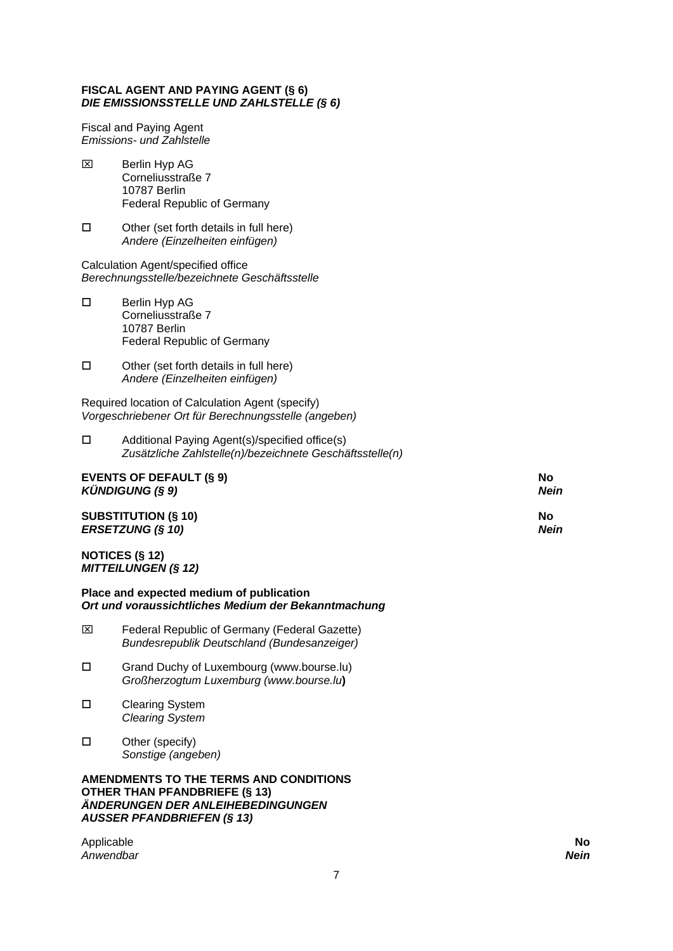## **FISCAL AGENT AND PAYING AGENT (§ 6)** *DIE EMISSIONSSTELLE UND ZAHLSTELLE (§ 6)*

Fiscal and Paying Agent *Emissions- und Zahlstelle*

- $\boxtimes$  Berlin Hyp AG Corneliusstraße 7 10787 Berlin Federal Republic of Germany
- $\square$  Other (set forth details in full here) *Andere (Einzelheiten einfügen)*

Calculation Agent/specified office *Berechnungsstelle/bezeichnete Geschäftsstelle*

- □ Berlin Hyp AG Corneliusstraße 7 10787 Berlin Federal Republic of Germany
- $\square$  Other (set forth details in full here) *Andere (Einzelheiten einfügen)*

Required location of Calculation Agent (specify) *Vorgeschriebener Ort für Berechnungsstelle (angeben)*

 Additional Paying Agent(s)/specified office(s) *Zusätzliche Zahlstelle(n)/bezeichnete Geschäftsstelle(n)*

| EVENTS OF DEFAULT (§ 9)          | No   |
|----------------------------------|------|
| $K\ddot{\text{U}}$ NDIGUNG (§ 9) | Nein |
| <b>SUBSTITUTION (§ 10)</b>       | No   |
| <b>ERSETZUNG (§ 10)</b>          | Nein |

## **NOTICES (§ 12)** *MITTEILUNGEN (§ 12)*

**Place and expected medium of publication** *Ort und voraussichtliches Medium der Bekanntmachung*

- Federal Republic of Germany (Federal Gazette) *Bundesrepublik Deutschland (Bundesanzeiger)*
- Grand Duchy of Luxembourg (www.bourse.lu) *Großherzogtum Luxemburg (www.bourse.lu***)**
- □ Clearing System *Clearing System*
- $\square$  Other (specify) *Sonstige (angeben)*

**AMENDMENTS TO THE TERMS AND CONDITIONS OTHER THAN PFANDBRIEFE (§ 13)** *ÄNDERUNGEN DER ANLEIHEBEDINGUNGEN AUSSER PFANDBRIEFEN (§ 13)*

Applicable **No** *Anwendbar Nein*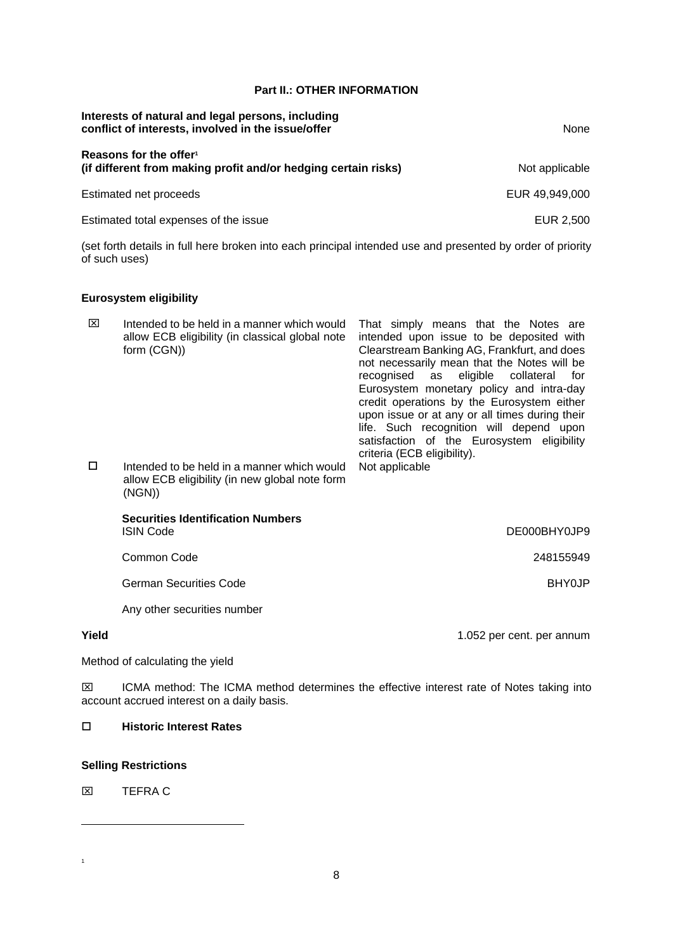## **Part II.: OTHER INFORMATION**

| Interests of natural and legal persons, including<br>conflict of interests, involved in the issue/offer | None           |  |
|---------------------------------------------------------------------------------------------------------|----------------|--|
| Reasons for the offer <sup>1</sup><br>(if different from making profit and/or hedging certain risks)    | Not applicable |  |
| Estimated net proceeds                                                                                  | EUR 49,949,000 |  |
| Estimated total expenses of the issue                                                                   | EUR 2.500      |  |

(set forth details in full here broken into each principal intended use and presented by order of priority of such uses)

## **Eurosystem eligibility**

| ⊠      | Intended to be held in a manner which would<br>allow ECB eligibility (in classical global note<br>form (CGN)) | That simply means that the Notes are<br>intended upon issue to be deposited with<br>Clearstream Banking AG, Frankfurt, and does<br>not necessarily mean that the Notes will be<br>recognised as eligible collateral<br>for<br>Eurosystem monetary policy and intra-day<br>credit operations by the Eurosystem either<br>upon issue or at any or all times during their<br>life. Such recognition will depend upon<br>satisfaction of the Eurosystem eligibility<br>criteria (ECB eligibility). |
|--------|---------------------------------------------------------------------------------------------------------------|------------------------------------------------------------------------------------------------------------------------------------------------------------------------------------------------------------------------------------------------------------------------------------------------------------------------------------------------------------------------------------------------------------------------------------------------------------------------------------------------|
| $\Box$ | Intended to be held in a manner which would<br>allow ECB eligibility (in new global note form<br>(NGN))       | Not applicable                                                                                                                                                                                                                                                                                                                                                                                                                                                                                 |
|        | <b>Securities Identification Numbers</b><br><b>ISIN Code</b>                                                  | DE000BHY0JP9                                                                                                                                                                                                                                                                                                                                                                                                                                                                                   |
|        | Common Code                                                                                                   | 248155949                                                                                                                                                                                                                                                                                                                                                                                                                                                                                      |
|        | German Securities Code                                                                                        | <b>BHY0JP</b>                                                                                                                                                                                                                                                                                                                                                                                                                                                                                  |

Any other securities number

**Yield** 1.052 per cent. per annum

Method of calculating the yield

ICMA method: The ICMA method determines the effective interest rate of Notes taking into account accrued interest on a daily basis.

### **Historic Interest Rates**

## **Selling Restrictions**

**X TEFRA C** 

-

1

8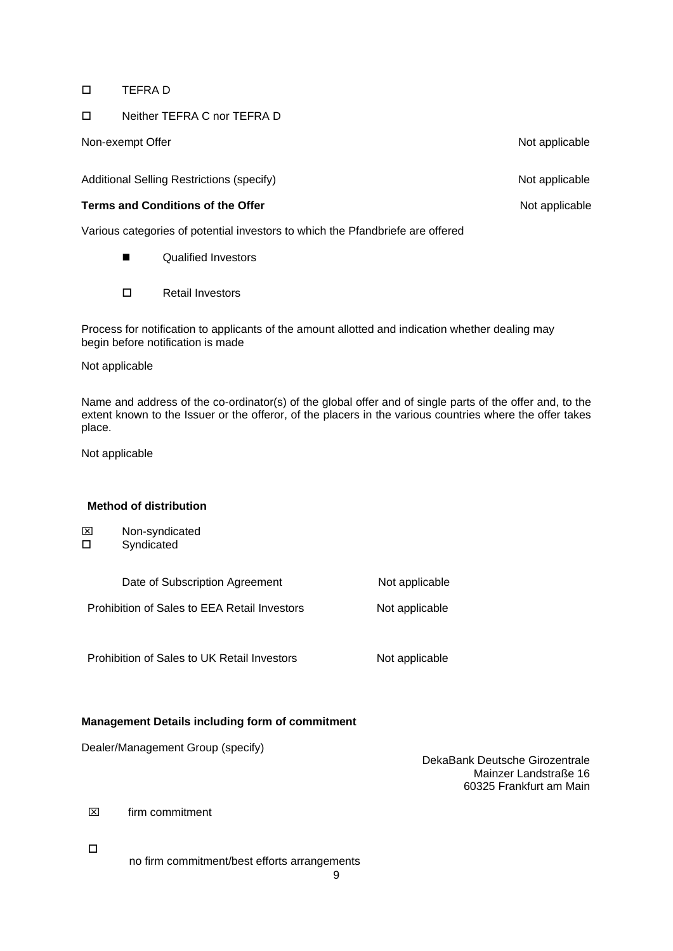## TEFRA D

## Neither TEFRA C nor TEFRA D

Non-exempt Offer Non-exempt Offer Non-exempt Offer Non-exempt Offer

Additional Selling Restrictions (specify) Additional Selling Restrictions (specify)

## **Terms and Conditions of the Offer** Not applicable Not applicable

Various categories of potential investors to which the Pfandbriefe are offered

- **Qualified Investors**
- Retail Investors

Process for notification to applicants of the amount allotted and indication whether dealing may begin before notification is made

## Not applicable

Name and address of the co-ordinator(s) of the global offer and of single parts of the offer and, to the extent known to the Issuer or the offeror, of the placers in the various countries where the offer takes place.

Not applicable

## **Method of distribution**

| ⊠ | Non-syndicated |
|---|----------------|
|   |                |

Syndicated

| Date of Subscription Agreement               | Not applicable |  |
|----------------------------------------------|----------------|--|
| Prohibition of Sales to EEA Retail Investors | Not applicable |  |

Prohibition of Sales to UK Retail Investors Not applicable

# **Management Details including form of commitment**

Dealer/Management Group (specify)

DekaBank Deutsche Girozentrale Mainzer Landstraße 16 60325 Frankfurt am Main

 $\boxtimes$  firm commitment

 $\Box$ 

no firm commitment/best efforts arrangements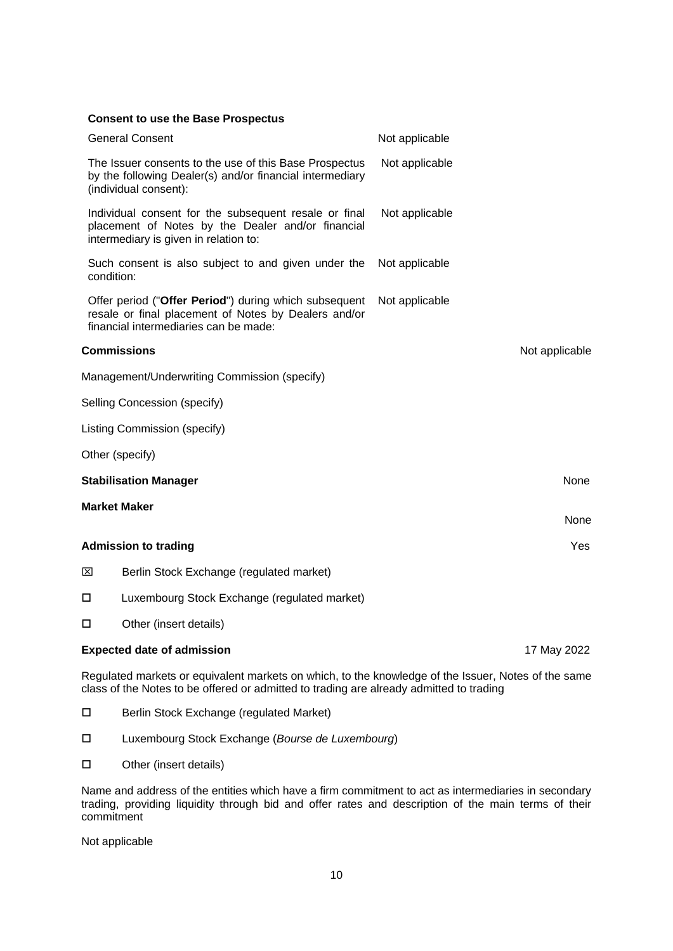| <b>Consent to use the Base Prospectus</b>                                                                                                              |                |
|--------------------------------------------------------------------------------------------------------------------------------------------------------|----------------|
| <b>General Consent</b>                                                                                                                                 | Not applicable |
| The Issuer consents to the use of this Base Prospectus<br>by the following Dealer(s) and/or financial intermediary<br>(individual consent):            | Not applicable |
| Individual consent for the subsequent resale or final<br>placement of Notes by the Dealer and/or financial<br>intermediary is given in relation to:    | Not applicable |
| Such consent is also subject to and given under the<br>condition:                                                                                      | Not applicable |
| Offer period ("Offer Period") during which subsequent<br>resale or final placement of Notes by Dealers and/or<br>financial intermediaries can be made: | Not applicable |
| <b>Commissions</b>                                                                                                                                     | Not applicable |
| Management/Underwriting Commission (specify)                                                                                                           |                |
| Selling Concession (specify)                                                                                                                           |                |
| Listing Commission (specify)                                                                                                                           |                |
| Other (specify)                                                                                                                                        |                |
| <b>Stabilisation Manager</b>                                                                                                                           | None           |
| <b>Market Maker</b>                                                                                                                                    | None           |
| <b>Admission to trading</b>                                                                                                                            | Yes            |
| ⊠<br>Berlin Stock Exchange (regulated market)                                                                                                          |                |
| Luxembourg Stock Exchange (regulated market)<br>□                                                                                                      |                |
| Other (insert details)<br>□                                                                                                                            |                |
| <b>Expected date of admission</b>                                                                                                                      | 17 May 2022    |
| Regulated markets or equivalent markets on which, to the knowledge of the Issuer, Notes of the same                                                    |                |

class of the Notes to be offered or admitted to trading are already admitted to trading

- □ Berlin Stock Exchange (regulated Market)
- Luxembourg Stock Exchange (*Bourse de Luxembourg*)
- □ Other (insert details)

Name and address of the entities which have a firm commitment to act as intermediaries in secondary trading, providing liquidity through bid and offer rates and description of the main terms of their commitment

Not applicable